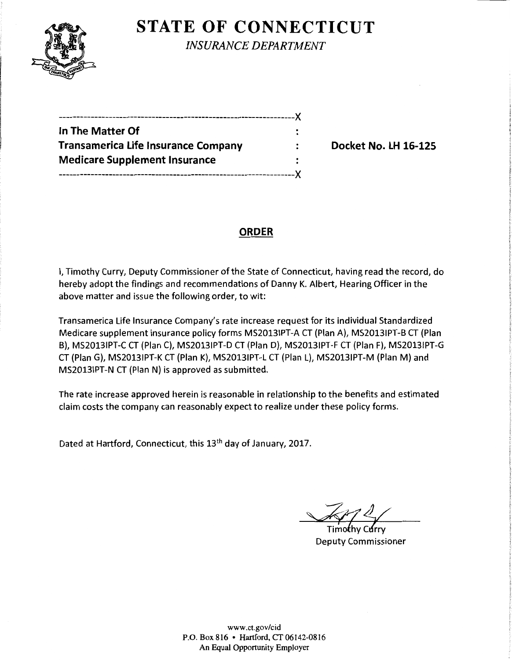

**STATE OF CONNECTICUT** 

*INSURANCE DEPARTMENT* 

| --------------------                       |  |
|--------------------------------------------|--|
| In The Matter Of                           |  |
| <b>Transamerica Life Insurance Company</b> |  |
| <b>Medicare Supplement Insurance</b>       |  |
|                                            |  |

Docket No. LH 16-125

## **ORDER**

I, Timothy Curry, Deputy Commissioner of the State of Connecticut, having read the record, do hereby adopt the findings and recommendations of Danny K. Albert, Hearing Officer in the above matter and issue the following order, to wit:

Transamerica Life Insurance Company's rate increase request for its individual Standardized Medicare supplement insurance policy forms MS20131PT-A CT (Plan A), MS20131PT-B CT (Plan B), MS20131PT-C CT (Plan C), MS20131PT-D CT (Plan D), MS20131PT-F CT (Plan F), MS20131PT-G CT (Plan G), MS20131PT-K CT (Plan K), MS20131PT-l CT (Plan l), MS20131PT-M (Plan M) and MS20131PT-N CT (Plan N) is approved as submitted.

The rate increase approved herein is reasonable in relationship to the benefits and estimated claim costs the company can reasonably expect to realize under these policy forms.

Dated at Hartford, Connecticut, this 13<sup>th</sup> day of January, 2017.

Timothy Curry Deputy Commissioner

www.ct.gov/cid P.O. Box 816 • Hartford, CT 06142-0816 An Equal Opportunity Employer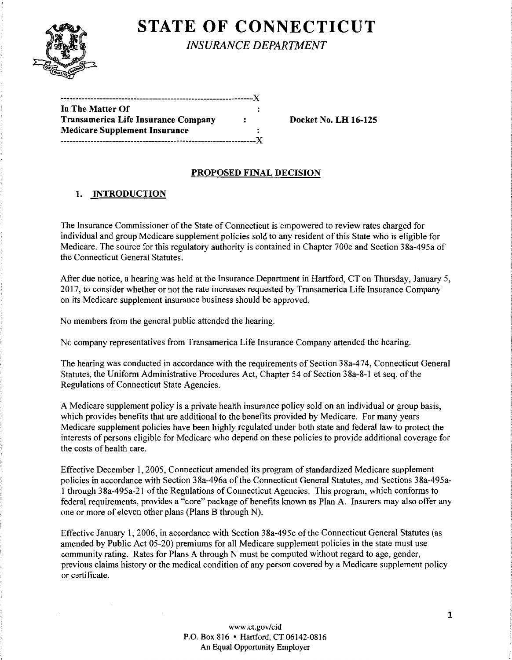

# **STATE OF CONNECTICUT**

*INSURANCE DEPARTMENT* 

| In The Matter Of                           |    |
|--------------------------------------------|----|
| <b>Transamerica Life Insurance Company</b> | ÷  |
| <b>Medicare Supplement Insurance</b>       |    |
|                                            | -Y |
|                                            |    |

Docket No. LH 16-125

## PROPOSED FINAL DECISION

#### 1. INTRODUCTION

The Insurance Commissioner of the State of Connecticut is empowered to review rates charged for individual and group Medicare supplement policies sold to any resident of this State who is eligible for Medicare. The source for this regulatory authority is contained in Chapter 700c and Section 38a-495a of the Connecticut General Statutes.

After due notice, a hearing was held at the Insurance Department in Hartford, CT on Thursday, January 5, 2017, to consider whether or not the rate increases requested by Transamerica Life Insurance Company on its Medicare supplement insurance business should be approved.

No members from the general public attended the hearing.

No company representatives from Transamerica Life Insurance Company attended the hearing.

The hearing was conducted in accordance with the requirements of Section 38a-474, Connecticut General Statutes, the Uniform Administrative Procedures Act, Chapter 54 of Section 38a-8-1 et seq. ofthe Regulations of Connecticut State Agencies.

A Medicare supplement policy is a private health insurance policy sold on an individual or group basis, which provides benefits that are additional to the benefits provided by Medicare. For many years Medicare supplement policies have been highly regulated under both state and federal law to protect the interests of persons eligible for Medicare who depend on these policies to provide additional coverage for the costs of health care.

Effective December 1, 2005, Connecticut amended its program of standardized Medicare supplement policies in accordance with Section 38a-496a of the Connecticut General Statutes, and Sections 38a-495al through 38a-495a-21 ofthe Regulations ofConnecticut Agencies. This program, which conforms to federal requirements, provides a "core" package of benefits known as Plan A. Insurers may also offer any one or more of eleven other plans (Plans B through N).

Effective January 1, 2006, in accordance with Section 38a-495c of the Connecticut General Statutes (as amended by Public Act 05-20) premiums for all Medicare supplement policies in the state must use community rating. Rates for Plans A through N must be computed without regard to age, gender, previous claims history or the medical condition of any person covered by a Medicare supplement policy or certificate.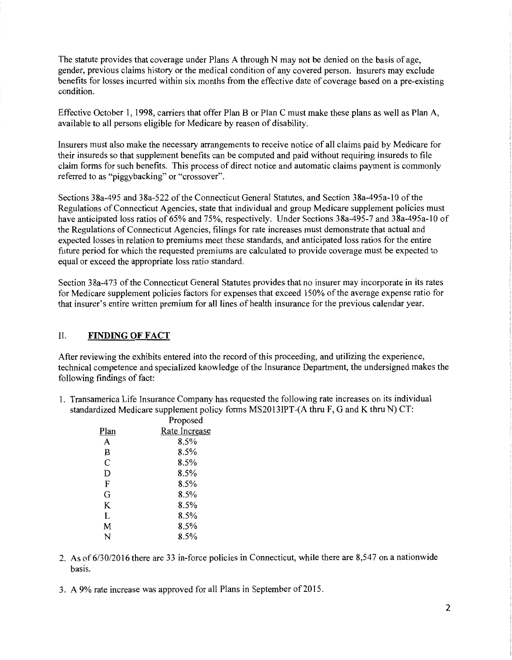The statute provides that coverage under Plans A through N may not be denied on the basis of age, gender, previous claims history or the medical condition of any covered person. Insurers may exclude benefits for losses incurred within six months from the effective date of coverage based on a pre-existing condition.

Effective October 1, 1998, carriers that offer Plan B or Plan C must make these plans as well as Plan A, available to all persons eligible for Medicare by reason of disability.

Insurers must also make the necessary arrangements to receive notice of all claims paid by Medicare for their insureds so that supplement benefits can be computed and paid without requiring insureds to file claim forms for such benefits. This process of direct notice and automatic claims payment is commonly referred to as "piggybacking" or "crossover".

Sections 38a-495 and 38a-522 of the Connecticut General Statutes, and Section 38a-495a-10 of the Regulations of Connecticut Agencies, state that individual and group Medicare supplement policies must have anticipated loss ratios of 65% and 75%, respectively. Under Sections 38a-495-7 and 38a-495a-10 of the Regulations of Connecticut Agencies, filings for rate increases must demonstrate that actual and expected losses in relation to premiums meet these standards, and anticipated loss ratios for the entire future period for which the requested premiums are calculated to provide coverage must be expected to equal or exceed the appropriate loss ratio standard.

Section 38a-473 of the Connecticut General Statutes provides that no insurer may incorporate in its rates for Medicare supplement policies factors for expenses that exceed 150% of the average expense ratio for that insurer's entire written premium for all lines of health insurance for the previous calendar year.

#### II. **FINDING OF FACT**

After reviewing the exhibits entered into the record ofthis proceeding, and utilizing the experience, technical competence and specialized knowledge of the Insurance Department, the undersigned makes the following findings of fact:

1. Transamerica Life Insurance Company has requested the following rate increases on its individual standardized Medicare supplement policy forms MS2013IPT-(A thru F, G and K thru N) CT:

|      | Proposed      |
|------|---------------|
| Plan | Rate Increase |
| A    | 8.5%          |
| В    | 8.5%          |
| C    | 8.5%          |
| D    | 8.5%          |
| F    | 8.5%          |
| G    | 8.5%          |
| K    | 8.5%          |
| L    | 8.5%          |
| M    | 8.5%          |
| N    | 8.5%          |
|      |               |

- 2. As of 6/30/2016 there are 33 in-force policies in Connecticut, while there are 8,547 on a nationwide basis.
- 3. A 9% rate increase was approved for all Plans in September of 2015.